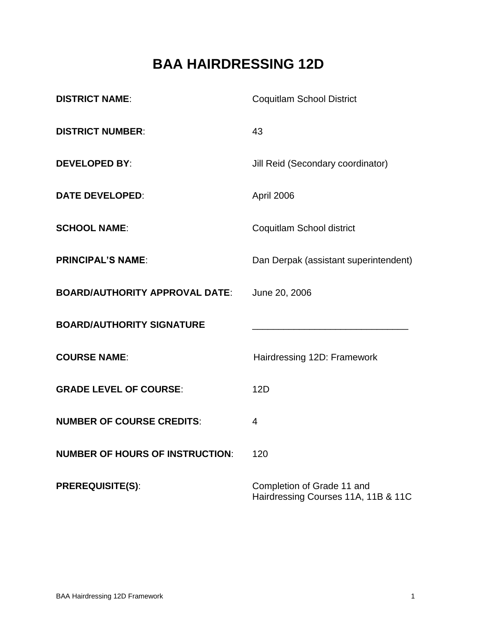# **BAA HAIRDRESSING 12D**

| <b>DISTRICT NAME:</b>                  | <b>Coquitlam School District</b>                                  |  |
|----------------------------------------|-------------------------------------------------------------------|--|
| <b>DISTRICT NUMBER:</b>                | 43                                                                |  |
| <b>DEVELOPED BY:</b>                   | Jill Reid (Secondary coordinator)                                 |  |
| <b>DATE DEVELOPED:</b>                 | April 2006                                                        |  |
| <b>SCHOOL NAME:</b>                    | Coquitlam School district                                         |  |
| <b>PRINCIPAL'S NAME:</b>               | Dan Derpak (assistant superintendent)                             |  |
| <b>BOARD/AUTHORITY APPROVAL DATE:</b>  | June 20, 2006                                                     |  |
| <b>BOARD/AUTHORITY SIGNATURE</b>       |                                                                   |  |
| <b>COURSE NAME:</b>                    | Hairdressing 12D: Framework                                       |  |
| <b>GRADE LEVEL OF COURSE:</b>          | 12D                                                               |  |
| <b>NUMBER OF COURSE CREDITS:</b>       | 4                                                                 |  |
| <b>NUMBER OF HOURS OF INSTRUCTION:</b> | 120                                                               |  |
| <b>PREREQUISITE(S):</b>                | Completion of Grade 11 and<br>Hairdressing Courses 11A, 11B & 11C |  |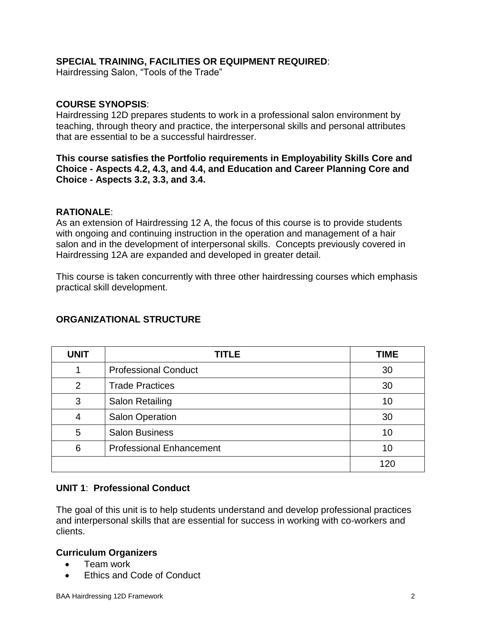## **SPECIAL TRAINING, FACILITIES OR EQUIPMENT REQUIRED**:

Hairdressing Salon, "Tools of the Trade"

#### **COURSE SYNOPSIS**:

Hairdressing 12D prepares students to work in a professional salon environment by teaching, through theory and practice, the interpersonal skills and personal attributes that are essential to be a successful hairdresser.

**This course satisfies the Portfolio requirements in Employability Skills Core and Choice - Aspects 4.2, 4.3, and 4.4, and Education and Career Planning Core and Choice - Aspects 3.2, 3.3, and 3.4.** 

#### **RATIONALE**:

As an extension of Hairdressing 12 A, the focus of this course is to provide students with ongoing and continuing instruction in the operation and management of a hair salon and in the development of interpersonal skills. Concepts previously covered in Hairdressing 12A are expanded and developed in greater detail.

This course is taken concurrently with three other hairdressing courses which emphasis practical skill development.

| <b>UNIT</b> | <b>TITLE</b>                    | <b>TIME</b> |
|-------------|---------------------------------|-------------|
|             | <b>Professional Conduct</b>     | 30          |
| ົາ          | <b>Trade Practices</b>          | 30          |
| 3           | Salon Retailing                 | 10          |
| Δ           | <b>Salon Operation</b>          | 30          |
| 5           | <b>Salon Business</b>           | 10          |
| 6           | <b>Professional Enhancement</b> | 10          |
|             |                                 | 120         |

## **ORGANIZATIONAL STRUCTURE**

## **UNIT 1**: **Professional Conduct**

The goal of this unit is to help students understand and develop professional practices and interpersonal skills that are essential for success in working with co-workers and clients.

#### **Curriculum Organizers**

- Team work
- Ethics and Code of Conduct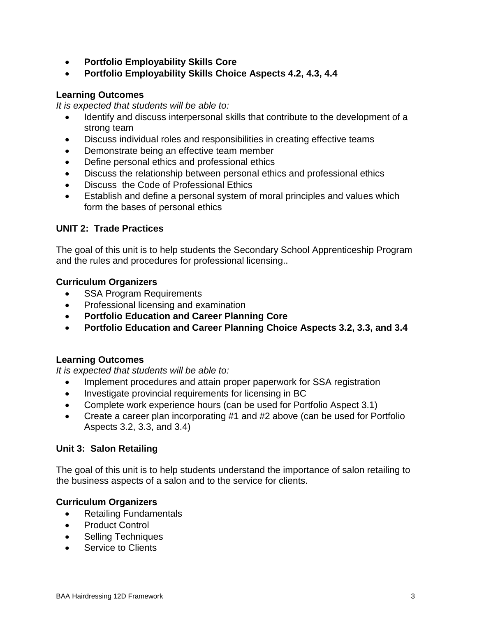- **Portfolio Employability Skills Core**
- **Portfolio Employability Skills Choice Aspects 4.2, 4.3, 4.4**

## **Learning Outcomes**

*It is expected that students will be able to:*

- Identify and discuss interpersonal skills that contribute to the development of a strong team
- Discuss individual roles and responsibilities in creating effective teams
- Demonstrate being an effective team member
- Define personal ethics and professional ethics
- Discuss the relationship between personal ethics and professional ethics
- Discuss the Code of Professional Ethics
- Establish and define a personal system of moral principles and values which form the bases of personal ethics

## **UNIT 2: Trade Practices**

The goal of this unit is to help students the Secondary School Apprenticeship Program and the rules and procedures for professional licensing..

## **Curriculum Organizers**

- SSA Program Requirements
- Professional licensing and examination
- **Portfolio Education and Career Planning Core**
- **Portfolio Education and Career Planning Choice Aspects 3.2, 3.3, and 3.4**

## **Learning Outcomes**

*It is expected that students will be able to:*

- Implement procedures and attain proper paperwork for SSA registration
- Investigate provincial requirements for licensing in BC
- Complete work experience hours (can be used for Portfolio Aspect 3.1)
- Create a career plan incorporating #1 and #2 above (can be used for Portfolio Aspects 3.2, 3.3, and 3.4)

## **Unit 3: Salon Retailing**

The goal of this unit is to help students understand the importance of salon retailing to the business aspects of a salon and to the service for clients.

## **Curriculum Organizers**

- Retailing Fundamentals
- Product Control
- Selling Techniques
- Service to Clients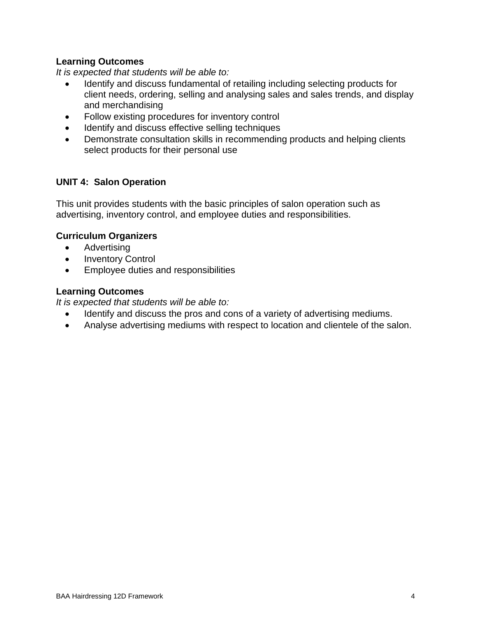## **Learning Outcomes**

*It is expected that students will be able to:*

- Identify and discuss fundamental of retailing including selecting products for client needs, ordering, selling and analysing sales and sales trends, and display and merchandising
- Follow existing procedures for inventory control
- Identify and discuss effective selling techniques
- Demonstrate consultation skills in recommending products and helping clients select products for their personal use

# **UNIT 4: Salon Operation**

This unit provides students with the basic principles of salon operation such as advertising, inventory control, and employee duties and responsibilities.

## **Curriculum Organizers**

- Advertising
- Inventory Control
- Employee duties and responsibilities

## **Learning Outcomes**

*It is expected that students will be able to:*

- Identify and discuss the pros and cons of a variety of advertising mediums.
- Analyse advertising mediums with respect to location and clientele of the salon.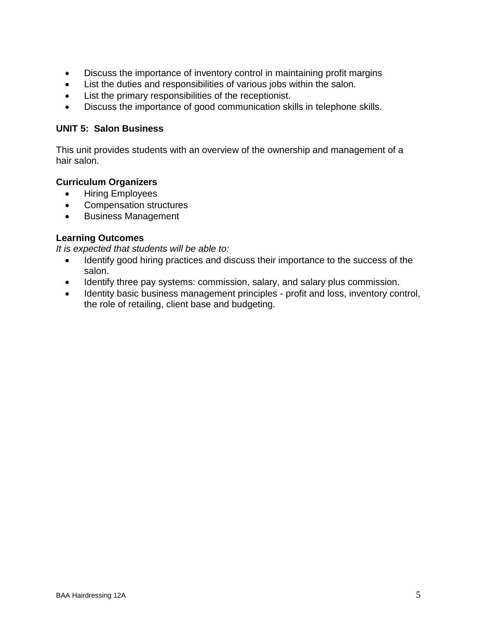- Discuss the importance of inventory control in maintaining profit margins
- List the duties and responsibilities of various jobs within the salon.
- List the primary responsibilities of the receptionist.
- Discuss the importance of good communication skills in telephone skills.

#### **UNIT 5: Salon Business**

This unit provides students with an overview of the ownership and management of a hair salon.

# **Curriculum Organizers**

- Hiring Employees
- Compensation structures
- Business Management

#### **Learning Outcomes**

*It is expected that students will be able to:*

- Identify good hiring practices and discuss their importance to the success of the salon.
- Identify three pay systems: commission, salary, and salary plus commission.
- Identity basic business management principles profit and loss, inventory control, the role of retailing, client base and budgeting.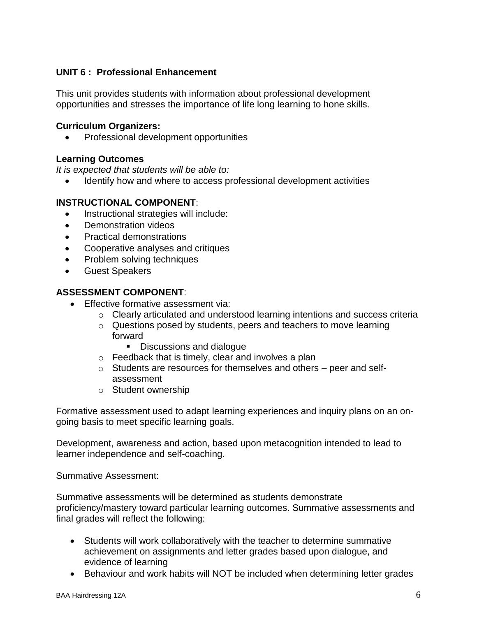# **UNIT 6 : Professional Enhancement**

This unit provides students with information about professional development opportunities and stresses the importance of life long learning to hone skills.

#### **Curriculum Organizers:**

• Professional development opportunities

#### **Learning Outcomes**

*It is expected that students will be able to:*

Identify how and where to access professional development activities

## **INSTRUCTIONAL COMPONENT**:

- Instructional strategies will include:
- Demonstration videos
- Practical demonstrations
- Cooperative analyses and critiques
- Problem solving techniques
- **•** Guest Speakers

# **ASSESSMENT COMPONENT**:

- Effective formative assessment via:
	- o Clearly articulated and understood learning intentions and success criteria
	- o Questions posed by students, peers and teachers to move learning forward
		- Discussions and dialogue
	- $\circ$  Feedback that is timely, clear and involves a plan
	- o Students are resources for themselves and others peer and selfassessment
	- o Student ownership

Formative assessment used to adapt learning experiences and inquiry plans on an ongoing basis to meet specific learning goals.

Development, awareness and action, based upon metacognition intended to lead to learner independence and self-coaching.

Summative Assessment:

Summative assessments will be determined as students demonstrate proficiency/mastery toward particular learning outcomes. Summative assessments and final grades will reflect the following:

- Students will work collaboratively with the teacher to determine summative achievement on assignments and letter grades based upon dialogue, and evidence of learning
- Behaviour and work habits will NOT be included when determining letter grades